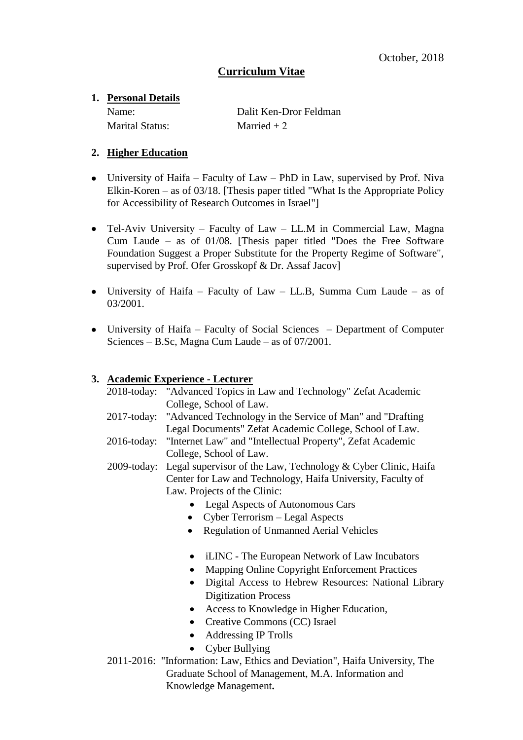# **Curriculum Vitae**

## **1. Personal Details**

Marital Status: Married + 2

Name: Dalit Ken-Dror Feldman

## **2. Higher Education**

- University of Haifa Faculty of Law PhD in Law, supervised by Prof. Niva Elkin-Koren – as of  $03/18$ . [Thesis paper titled "What Is the Appropriate Policy for Accessibility of Research Outcomes in Israel"]
- Tel-Aviv University Faculty of Law LL.M in Commercial Law, Magna Cum Laude – as of 01/08. [Thesis paper titled "Does the Free Software Foundation Suggest a Proper Substitute for the Property Regime of Software", supervised by Prof. Ofer Grosskopf & Dr. Assaf Jacov]
- University of Haifa Faculty of Law LL.B, Summa Cum Laude as of 03/2001.
- University of Haifa Faculty of Social Sciences Department of Computer Sciences – B.Sc, Magna Cum Laude – as of 07/2001.

## **3. Academic Experience - Lecturer**

| 2018-today: "Advanced Topics in Law and Technology" Zefat Academic         |  |  |
|----------------------------------------------------------------------------|--|--|
| College, School of Law.                                                    |  |  |
| 2017-today: "Advanced Technology in the Service of Man" and "Drafting      |  |  |
| Legal Documents" Zefat Academic College, School of Law.                    |  |  |
| 2016-today: "Internet Law" and "Intellectual Property", Zefat Academic     |  |  |
| College, School of Law.                                                    |  |  |
| 2009-today: Legal supervisor of the Law, Technology & Cyber Clinic, Haifa  |  |  |
| Center for Law and Technology, Haifa University, Faculty of                |  |  |
| Law. Projects of the Clinic:                                               |  |  |
| <b>Legal Aspects of Autonomous Cars</b>                                    |  |  |
| Cyber Terrorism – Legal Aspects                                            |  |  |
| <b>Regulation of Unmanned Aerial Vehicles</b><br>$\bullet$                 |  |  |
| iLINC - The European Network of Law Incubators                             |  |  |
| Mapping Online Copyright Enforcement Practices<br>٠                        |  |  |
| Digital Access to Hebrew Resources: National Library<br>$\bullet$          |  |  |
| <b>Digitization Process</b>                                                |  |  |
| Access to Knowledge in Higher Education,<br>$\bullet$                      |  |  |
| Creative Commons (CC) Israel<br>$\bullet$                                  |  |  |
| <b>Addressing IP Trolls</b>                                                |  |  |
| <b>Cyber Bullying</b>                                                      |  |  |
| 2011-2016: "Information: Law, Ethics and Deviation", Haifa University, The |  |  |
| Graduate School of Management, M.A. Information and                        |  |  |
| Knowledge Management.                                                      |  |  |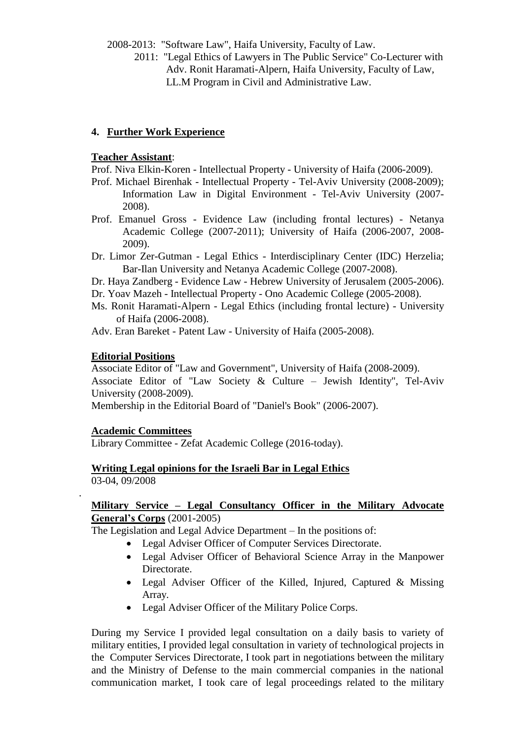2008-2013: "Software Law", Haifa University, Faculty of Law.

 2011: "Legal Ethics of Lawyers in The Public Service" Co-Lecturer with Adv. Ronit Haramati-Alpern, Haifa University, Faculty of Law, LL.M Program in Civil and Administrative Law.

### **4. Further Work Experience**

#### **Teacher Assistant**:

Prof. Niva Elkin-Koren - Intellectual Property - University of Haifa (2006-2009).

- Prof. Michael Birenhak Intellectual Property Tel-Aviv University (2008-2009); Information Law in Digital Environment - Tel-Aviv University (2007- 2008).
- Prof. Emanuel Gross Evidence Law (including frontal lectures) Netanya Academic College (2007-2011); University of Haifa (2006-2007, 2008- 2009).
- Dr. Limor Zer-Gutman Legal Ethics Interdisciplinary Center (IDC) Herzelia; Bar-Ilan University and Netanya Academic College (2007-2008).
- Dr. Haya Zandberg Evidence Law Hebrew University of Jerusalem (2005-2006).
- Dr. Yoav Mazeh Intellectual Property Ono Academic College (2005-2008).
- Ms. Ronit Haramati-Alpern Legal Ethics (including frontal lecture) University of Haifa (2006-2008).
- Adv. Eran Bareket Patent Law University of Haifa (2005-2008).

#### **Editorial Positions**

Associate Editor of "Law and Government", University of Haifa (2008-2009). Associate Editor of "Law Society & Culture – Jewish Identity", Tel-Aviv University (2008-2009).

Membership in the Editorial Board of "Daniel's Book" (2006-2007).

#### **Academic Committees**

.

Library Committee - Zefat Academic College (2016-today).

#### **Writing Legal opinions for the Israeli Bar in Legal Ethics** 03-04, 09/2008

#### **Military Service – Legal Consultancy Officer in the Military Advocate General's Corps** (2001-2005)

The Legislation and Legal Advice Department – In the positions of:

- Legal Adviser Officer of Computer Services Directorate.
- Legal Adviser Officer of Behavioral Science Array in the Manpower Directorate.
- Legal Adviser Officer of the Killed, Injured, Captured & Missing Array.
- Legal Adviser Officer of the Military Police Corps.

During my Service I provided legal consultation on a daily basis to variety of military entities, I provided legal consultation in variety of technological projects in the Computer Services Directorate, I took part in negotiations between the military and the Ministry of Defense to the main commercial companies in the national communication market, I took care of legal proceedings related to the military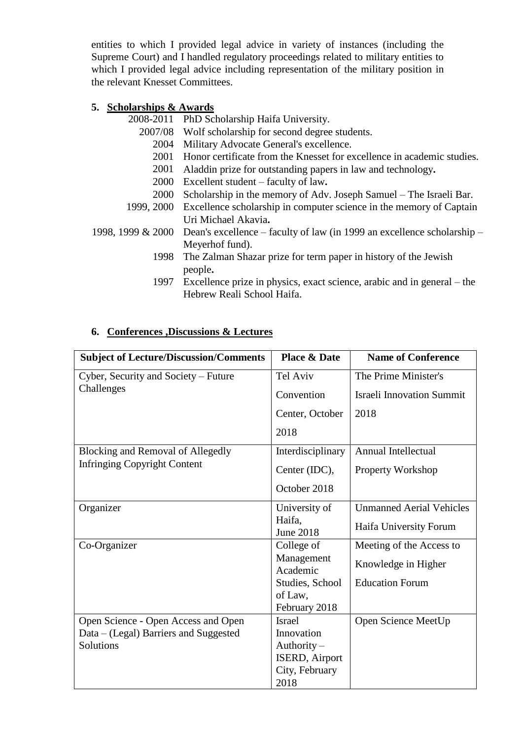entities to which I provided legal advice in variety of instances (including the Supreme Court) and I handled regulatory proceedings related to military entities to which I provided legal advice including representation of the military position in the relevant Knesset Committees.

### **5. Scholarships & Awards**

2008-2011 PhD Scholarship Haifa University.

- 2007/08 Wolf scholarship for second degree students.
	- 2004 Military Advocate General's excellence.
	- 2001 Honor certificate from the Knesset for excellence in academic studies.
	- 2001 Aladdin prize for outstanding papers in law and technology**.**
	- 2000 Excellent student faculty of law**.**
	- 2000 Scholarship in the memory of Adv. Joseph Samuel The Israeli Bar.
- 1999, 2000 Excellence scholarship in computer science in the memory of Captain Uri Michael Akavia**.**
- 1998, 1999  $& 2000$  Dean's excellence faculty of law (in 1999 an excellence scholarship Meyerhof fund).
	- 1998 The Zalman Shazar prize for term paper in history of the Jewish people**.**
	- 1997 Excellence prize in physics, exact science, arabic and in general the Hebrew Reali School Haifa.

| <b>Subject of Lecture/Discussion/Comments</b> | <b>Place &amp; Date</b>    | <b>Name of Conference</b>        |
|-----------------------------------------------|----------------------------|----------------------------------|
| Cyber, Security and Society - Future          | Tel Aviv                   | The Prime Minister's             |
| Challenges                                    | Convention                 | <b>Israeli Innovation Summit</b> |
|                                               | Center, October            | 2018                             |
|                                               | 2018                       |                                  |
| <b>Blocking and Removal of Allegedly</b>      | Interdisciplinary          | <b>Annual Intellectual</b>       |
| <b>Infringing Copyright Content</b>           | Center (IDC),              | Property Workshop                |
|                                               | October 2018               |                                  |
| Organizer                                     | University of              | <b>Unmanned Aerial Vehicles</b>  |
|                                               | Haifa,<br><b>June 2018</b> | Haifa University Forum           |
| Co-Organizer                                  | College of                 | Meeting of the Access to         |
|                                               | Management<br>Academic     | Knowledge in Higher              |
|                                               | Studies, School            | <b>Education Forum</b>           |
|                                               | of Law,                    |                                  |
|                                               | February 2018              |                                  |
| Open Science - Open Access and Open           | <b>Israel</b>              | Open Science MeetUp              |
| Data – (Legal) Barriers and Suggested         | Innovation                 |                                  |
| Solutions                                     | Authority $-$              |                                  |
|                                               | ISERD, Airport             |                                  |
|                                               | City, February             |                                  |
|                                               | 2018                       |                                  |

### **6. Conferences ,Discussions & Lectures**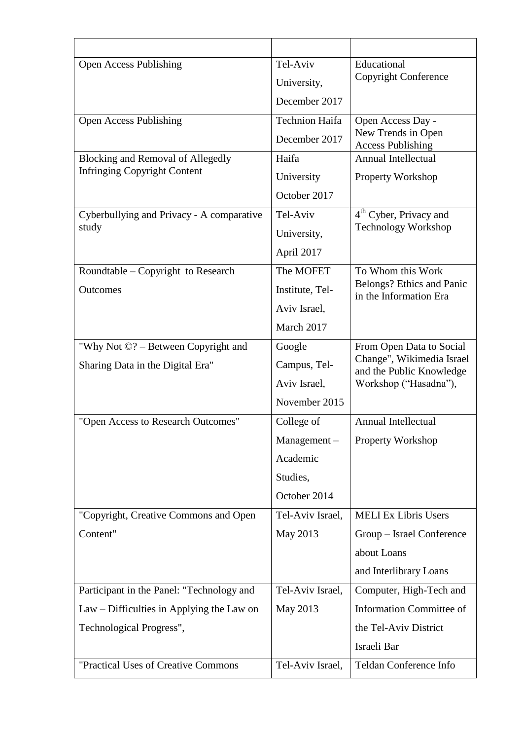| <b>Open Access Publishing</b>                   | Tel-Aviv              | Educational                                           |
|-------------------------------------------------|-----------------------|-------------------------------------------------------|
|                                                 | University,           | Copyright Conference                                  |
|                                                 | December 2017         |                                                       |
| <b>Open Access Publishing</b>                   | <b>Technion Haifa</b> | Open Access Day -                                     |
|                                                 | December 2017         | New Trends in Open<br><b>Access Publishing</b>        |
| <b>Blocking and Removal of Allegedly</b>        | Haifa                 | <b>Annual Intellectual</b>                            |
| <b>Infringing Copyright Content</b>             | University            | Property Workshop                                     |
|                                                 | October 2017          |                                                       |
| Cyberbullying and Privacy - A comparative       | Tel-Aviv              | 4 <sup>th</sup> Cyber, Privacy and                    |
| study                                           | University,           | <b>Technology Workshop</b>                            |
|                                                 | April 2017            |                                                       |
| Roundtable – Copyright to Research              | The MOFET             | To Whom this Work                                     |
| <b>Outcomes</b>                                 | Institute, Tel-       | Belongs? Ethics and Panic<br>in the Information Era   |
|                                                 | Aviv Israel,          |                                                       |
|                                                 | March 2017            |                                                       |
| "Why Not $\mathbb{C}$ ? – Between Copyright and | Google                | From Open Data to Social                              |
| Sharing Data in the Digital Era"                | Campus, Tel-          | Change", Wikimedia Israel<br>and the Public Knowledge |
|                                                 | Aviv Israel,          | Workshop ("Hasadna"),                                 |
|                                                 | November 2015         |                                                       |
| "Open Access to Research Outcomes"              | College of            | Annual Intellectual                                   |
|                                                 | Management-           | <b>Property Workshop</b>                              |
|                                                 | Academic              |                                                       |
|                                                 | Studies,              |                                                       |
|                                                 | October 2014          |                                                       |
| "Copyright, Creative Commons and Open           | Tel-Aviv Israel,      | <b>MELI Ex Libris Users</b>                           |
| Content"                                        | May 2013              | Group - Israel Conference                             |
|                                                 |                       | about Loans                                           |
|                                                 |                       | and Interlibrary Loans                                |
| Participant in the Panel: "Technology and       | Tel-Aviv Israel,      | Computer, High-Tech and                               |
| Law – Difficulties in Applying the Law on       | May 2013              | <b>Information Committee of</b>                       |
| Technological Progress",                        |                       | the Tel-Aviv District                                 |
|                                                 |                       | Israeli Bar                                           |
| "Practical Uses of Creative Commons"            | Tel-Aviv Israel,      | Teldan Conference Info                                |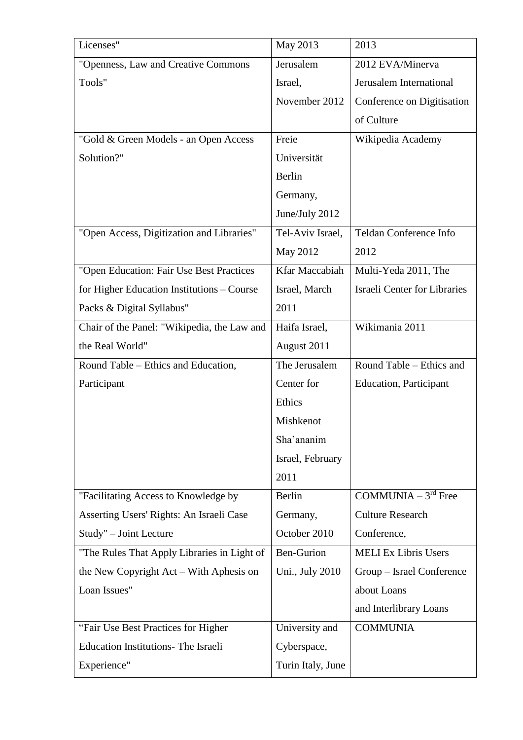| Licenses"                                   | May 2013              | 2013                                |
|---------------------------------------------|-----------------------|-------------------------------------|
| "Openness, Law and Creative Commons         | Jerusalem             | 2012 EVA/Minerva                    |
| Tools"                                      | Israel,               | Jerusalem International             |
|                                             | November 2012         | Conference on Digitisation          |
|                                             |                       | of Culture                          |
| "Gold & Green Models - an Open Access       | Freie                 | Wikipedia Academy                   |
| Solution?"                                  | Universität           |                                     |
|                                             | Berlin                |                                     |
|                                             | Germany,              |                                     |
|                                             | June/July 2012        |                                     |
| "Open Access, Digitization and Libraries"   | Tel-Aviv Israel,      | Teldan Conference Info              |
|                                             | May 2012              | 2012                                |
| "Open Education: Fair Use Best Practices    | <b>Kfar Maccabiah</b> | Multi-Yeda 2011, The                |
| for Higher Education Institutions – Course  | Israel, March         | <b>Israeli Center for Libraries</b> |
| Packs & Digital Syllabus"                   | 2011                  |                                     |
| Chair of the Panel: "Wikipedia, the Law and | Haifa Israel,         | Wikimania 2011                      |
| the Real World"                             | August 2011           |                                     |
| Round Table – Ethics and Education,         | The Jerusalem         | Round Table – Ethics and            |
| Participant                                 | Center for            | <b>Education</b> , Participant      |
|                                             | Ethics                |                                     |
|                                             | Mishkenot             |                                     |
|                                             | Sha'ananim            |                                     |
|                                             | Israel, February      |                                     |
|                                             | 2011                  |                                     |
| "Facilitating Access to Knowledge by        | Berlin                | COMMUNIA $-3rd$ Free                |
| Asserting Users' Rights: An Israeli Case    | Germany,              | <b>Culture Research</b>             |
| Study" - Joint Lecture                      | October 2010          | Conference,                         |
| "The Rules That Apply Libraries in Light of | <b>Ben-Gurion</b>     | <b>MELI Ex Libris Users</b>         |
| the New Copyright Act – With Aphesis on     | Uni., July 2010       | Group – Israel Conference           |
| Loan Issues"                                |                       | about Loans                         |
|                                             |                       | and Interlibrary Loans              |
| "Fair Use Best Practices for Higher         | University and        | <b>COMMUNIA</b>                     |
| <b>Education Institutions- The Israeli</b>  | Cyberspace,           |                                     |
| Experience"                                 | Turin Italy, June     |                                     |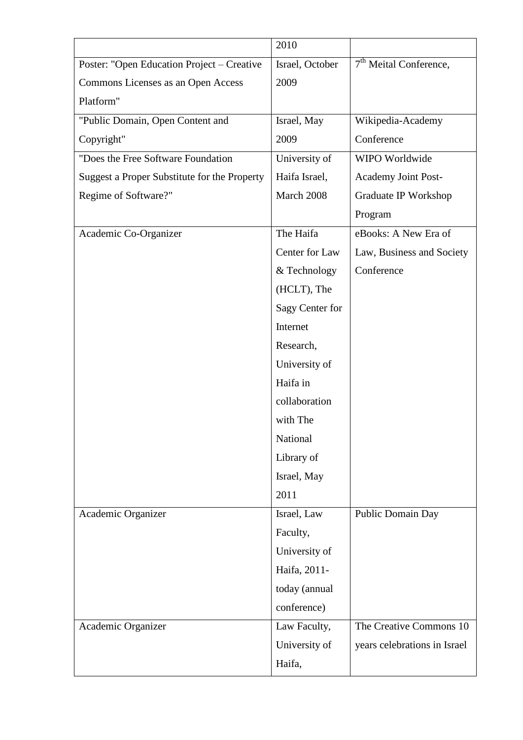|                                              | 2010            |                              |
|----------------------------------------------|-----------------|------------------------------|
| Poster: "Open Education Project - Creative   | Israel, October | $7th$ Meital Conference,     |
| Commons Licenses as an Open Access           | 2009            |                              |
| Platform"                                    |                 |                              |
| "Public Domain, Open Content and             | Israel, May     | Wikipedia-Academy            |
| Copyright"                                   | 2009            | Conference                   |
| "Does the Free Software Foundation           | University of   | WIPO Worldwide               |
| Suggest a Proper Substitute for the Property | Haifa Israel,   | <b>Academy Joint Post-</b>   |
| Regime of Software?"                         | March 2008      | Graduate IP Workshop         |
|                                              |                 | Program                      |
| Academic Co-Organizer                        | The Haifa       | eBooks: A New Era of         |
|                                              | Center for Law  | Law, Business and Society    |
|                                              | & Technology    | Conference                   |
|                                              | (HCLT), The     |                              |
|                                              | Sagy Center for |                              |
|                                              | Internet        |                              |
|                                              | Research,       |                              |
|                                              | University of   |                              |
|                                              | Haifa in        |                              |
|                                              | collaboration   |                              |
|                                              | with The        |                              |
|                                              | National        |                              |
|                                              | Library of      |                              |
|                                              | Israel, May     |                              |
|                                              | 2011            |                              |
| Academic Organizer                           | Israel, Law     | Public Domain Day            |
|                                              | Faculty,        |                              |
|                                              | University of   |                              |
|                                              | Haifa, 2011-    |                              |
|                                              | today (annual   |                              |
|                                              | conference)     |                              |
| Academic Organizer                           | Law Faculty,    | The Creative Commons 10      |
|                                              | University of   | years celebrations in Israel |
|                                              | Haifa,          |                              |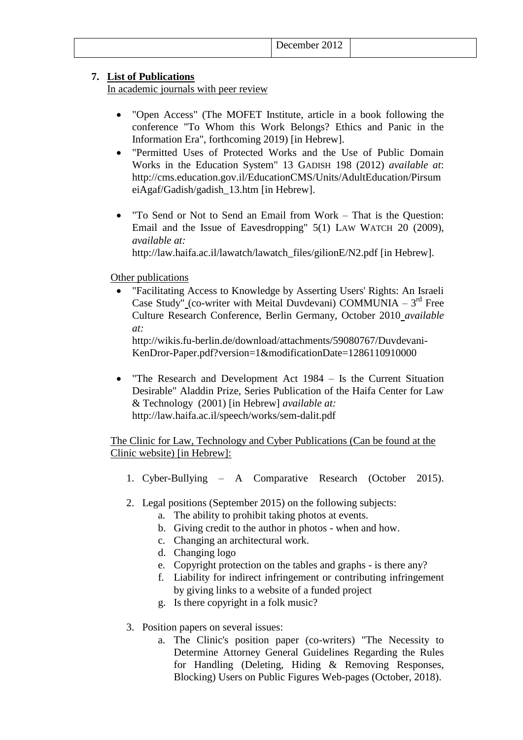#### **7. List of Publications**

In academic journals with peer review

- "Open Access" (The MOFET Institute, article in a book following the conference "To Whom this Work Belongs? Ethics and Panic in the Information Era", forthcoming 2019) [in Hebrew].
- "Permitted Uses of Protected Works and the Use of Public Domain Works in the Education System" 13 GADISH 198 (2012) *available at*: http://cms.education.gov.il/EducationCMS/Units/AdultEducation/Pirsum eiAgaf/Gadish/gadish\_13.htm [in Hebrew].
- "To Send or Not to Send an Email from Work That is the Question: Email and the Issue of Eavesdropping" 5(1) LAW WATCH 20 (2009), *available at:*

http://law.haifa.ac.il/lawatch/lawatch\_files/gilionE/N2.pdf [in Hebrew].

#### Other publications

 "Facilitating Access to Knowledge by Asserting Users' Rights: An Israeli Case Study" (co-writer with Meital Duvdevani) COMMUNIA –  $3<sup>rd</sup>$  Free Culture Research Conference, Berlin Germany, October 2010 *available at:*

http://wikis.fu-berlin.de/download/attachments/59080767/Duvdevani-KenDror-Paper.pdf?version=1&modificationDate=1286110910000

 "The Research and Development Act 1984 – Is the Current Situation Desirable" Aladdin Prize, Series Publication of the Haifa Center for Law & Technology (2001) [in Hebrew] *available at:* http://law.haifa.ac.il/speech/works/sem-dalit.pdf

The Clinic for Law, Technology and Cyber Publications (Can be found at the Clinic website) [in Hebrew]:

- 1. Cyber-Bullying A Comparative Research (October 2015).
- 2. Legal positions (September 2015) on the following subjects:
	- a. The ability to prohibit taking photos at events.
	- b. Giving credit to the author in photos when and how.
	- c. Changing an architectural work.
	- d. Changing logo
	- e. Copyright protection on the tables and graphs is there any?
	- f. Liability for indirect infringement or contributing infringement by giving links to a website of a funded project
	- g. Is there copyright in a folk music?
- 3. Position papers on several issues:
	- a. The Clinic's position paper (co-writers) "The Necessity to Determine Attorney General Guidelines Regarding the Rules for Handling (Deleting, Hiding & Removing Responses, Blocking) Users on Public Figures Web-pages (October, 2018).